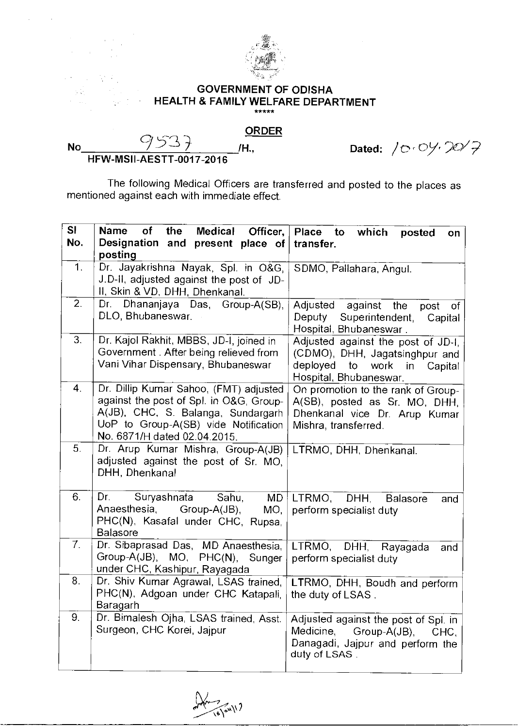

## **GOVERNMENT OF ODISHA HEALTH & FAMILY WELFARE DEPARTMENT**  \*\*\*\*\*

## **ORDER**

ing and

**No 953 /H., HFW-MSII-AESTT-0017-2016** 

Dated: /<del>c</del>·0*y*·20/7

The following Medical Officers are transferred and posted to the places as mentioned against each with immediate effect.

| <b>SI</b><br>No. | the<br><b>Name</b><br>of<br>Medical<br>Officer,<br>Designation and<br>present place of                                                                                                          | Place to<br>which<br>posted<br>on<br>transfer.                                                                                   |
|------------------|-------------------------------------------------------------------------------------------------------------------------------------------------------------------------------------------------|----------------------------------------------------------------------------------------------------------------------------------|
|                  | posting                                                                                                                                                                                         |                                                                                                                                  |
| 1.               | Dr. Jayakrishna Nayak, Spl. in O&G,<br>J.D-II, adjusted against the post of JD-<br>II, Skin & VD, DHH, Dhenkanal.                                                                               | SDMO, Pallahara, Angul.                                                                                                          |
| 2.               | Dhananjaya Das,<br>Dr.<br>Group-A(SB),<br>DLO, Bhubaneswar.                                                                                                                                     | Adjusted<br>against the<br>post<br>of<br>Deputy<br>Superintendent,<br>Capital<br>Hospital, Bhubaneswar.                          |
| 3.               | Dr. Kajol Rakhit, MBBS, JD-I, joined in<br>Government. After being relieved from<br>Vani Vihar Dispensary, Bhubaneswar                                                                          | Adjusted against the post of JD-I,<br>(CDMO), DHH, Jagatsinghpur and<br>deployed to work<br>in Capital<br>Hospital, Bhubaneswar. |
| 4.               | Dr. Dillip Kumar Sahoo, (FMT) adjusted<br>against the post of Spl. in O&G, Group-<br>A(JB), CHC, S. Balanga, Sundargarh<br>UoP to Group-A(SB) vide Notification<br>No. 6871/H dated 02.04.2015. | On promotion to the rank of Group-<br>A(SB), posted as Sr. MO, DHH,<br>Dhenkanal vice Dr. Arup Kumar<br>Mishra, transferred.     |
| 5.               | Dr. Arup Kumar Mishra, Group-A(JB)<br>adjusted against the post of Sr. MO,<br>DHH, Dhenkanal                                                                                                    | LTRMO, DHH, Dhenkanal.                                                                                                           |
| 6.               | Suryashnata<br>Dr.<br>Sahu,<br>MD<br>Anaesthesia,<br>Group-A(JB),<br>MO <sub>1</sub><br>PHC(N), Kasafal under CHC, Rupsa,<br><b>Balasore</b>                                                    | LTRMO,<br>DHH.<br><b>Balasore</b><br>and<br>perform specialist duty                                                              |
| 7 <sub>1</sub>   | Dr. Sibaprasad Das, MD Anaesthesia,<br>Group-A(JB), MO, PHC(N), Sunger<br>under CHC, Kashipur, Rayagada                                                                                         | LTRMO, DHH, Rayagada<br>and<br>perform specialist duty                                                                           |
| 8.               | Dr. Shiv Kumar Agrawal, LSAS trained,<br>PHC(N), Adgoan under CHC Katapali,<br>Baragarh                                                                                                         | LTRMO, DHH, Boudh and perform<br>the duty of LSAS.                                                                               |
| 9.               | Dr. Bimalesh Ojha, LSAS trained, Asst.<br>Surgeon, CHC Korei, Jajpur                                                                                                                            | Adjusted against the post of Spl. in<br>Medicine,<br>Group-A(JB),<br>CHC.<br>Danagadi, Jajpur and perform the<br>duty of LSAS.   |

(//w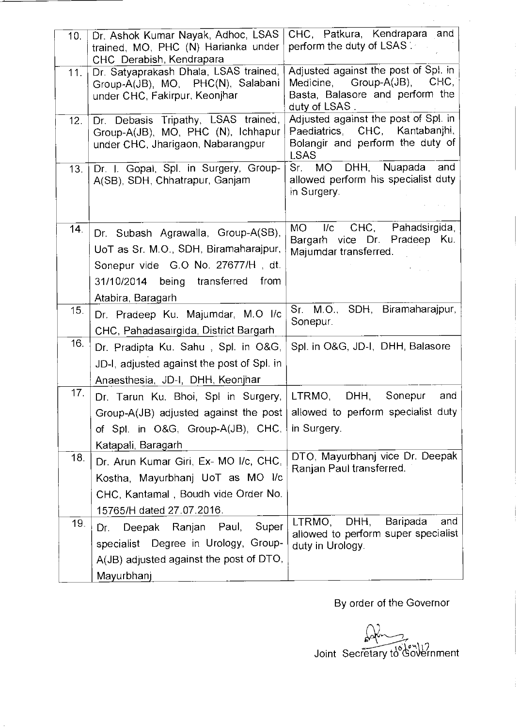| 10. | Dr. Ashok Kumar Nayak, Adhoc, LSAS<br>trained, MO, PHC (N) Harianka under<br>CHC Derabish, Kendrapara | CHC, Patkura, Kendrapara and<br>perform the duty of LSAS                 |
|-----|-------------------------------------------------------------------------------------------------------|--------------------------------------------------------------------------|
| 11. | Dr. Satyaprakash Dhala, LSAS trained,                                                                 | Adjusted against the post of Spl. in                                     |
|     | Group-A(JB), MO, PHC(N), Salabani                                                                     | Medicine, Group-A(JB), CHC,                                              |
|     | under CHC, Fakirpur, Keonjhar                                                                         | Basta, Balasore and perform the<br>duty of LSAS.                         |
| 12. | Dr. Debasis Tripathy, LSAS trained,                                                                   | Adjusted against the post of Spl. in                                     |
|     | Group-A(JB), MO, PHC (N), Ichhapur                                                                    | Paediatrics, CHC,<br>Kantabanjhi,                                        |
|     | under CHC, Jharigaon, Nabarangpur                                                                     | Bolangir and perform the duty of<br><b>LSAS</b>                          |
| 13. | Dr. I. Gopal, Spl. in Surgery, Group-                                                                 | MO DHH,<br>Nuapada<br>and<br>Sr.                                         |
|     | A(SB), SDH, Chhatrapur, Ganjam                                                                        | allowed perform his specialist duty                                      |
|     |                                                                                                       | in Surgery.                                                              |
|     |                                                                                                       |                                                                          |
| 14. | Dr. Subash Agrawalla, Group-A(SB),                                                                    | CHC, Pahadsirgida,<br>I/c<br>MO.<br>Bargarh vice Dr. Pradeep Ku.         |
|     | UoT as Sr. M.O., SDH, Biramaharajpur,                                                                 | Majumdar transferred.                                                    |
|     | Sonepur vide G.O No. 27677/H, dt.                                                                     |                                                                          |
|     | 31/10/2014 being transferred from                                                                     |                                                                          |
|     | Atabira, Baragarh                                                                                     |                                                                          |
| 15. | Dr. Pradeep Ku. Majumdar, M.O I/c                                                                     | Sr. M.O., SDH, Biramaharajpur,<br>Sonepur.                               |
|     | CHC, Pahadasairgida, District Bargarh                                                                 |                                                                          |
| 16. | Dr. Pradipta Ku. Sahu, Spl. in O&G,                                                                   | Spl. in O&G, JD-I, DHH, Balasore                                         |
|     | JD-I, adjusted against the post of Spl. in                                                            |                                                                          |
|     | Anaesthesia, JD-I, DHH, Keonjhar                                                                      |                                                                          |
| 17. | Dr. Tarun Ku. Bhoi, Spl in Surgery, LTRMO, DHH,                                                       | Sonepur<br>and                                                           |
|     | Group-A(JB) adjusted against the post   allowed to perform specialist duty                            |                                                                          |
|     | of Spl. in O&G, Group-A(JB), CHC,                                                                     | in Surgery.                                                              |
|     | Katapali, Baragarh                                                                                    |                                                                          |
| 18. | Dr. Arun Kumar Giri, Ex- MO I/c, CHC,                                                                 | DTO, Mayurbhanj vice Dr. Deepak<br>Ranjan Paul transferred.              |
|     | Kostha, Mayurbhanj UoT as MO I/c                                                                      |                                                                          |
|     | CHC, Kantamal, Boudh vide Order No.                                                                   |                                                                          |
|     | 15765/H dated 27.07.2016.                                                                             |                                                                          |
| 19. | Super<br>Deepak Ranjan Paul,<br>Dr.                                                                   | DHH,<br>Baripada<br>and<br>LTRMO,<br>allowed to perform super specialist |
|     | specialist Degree in Urology, Group-                                                                  | duty in Urology.                                                         |
|     | $A(JB)$ adjusted against the post of DTO,                                                             |                                                                          |
|     | Mayurbhanj                                                                                            |                                                                          |

By order of the Governor

 $\mathcal{H}^{\mathcal{G}}_{\mathcal{G}}$  ,  $\mathcal{G}^{\mathcal{G}}_{\mathcal{G}}$  ,  $\mathcal{G}^{\mathcal{G}}_{\mathcal{G}}$  ,  $\mathcal{G}^{\mathcal{G}}_{\mathcal{G}}$  $\hat{A}$ 

 $\bar{\beta}$ 

Joint Secretary to Government

Ť